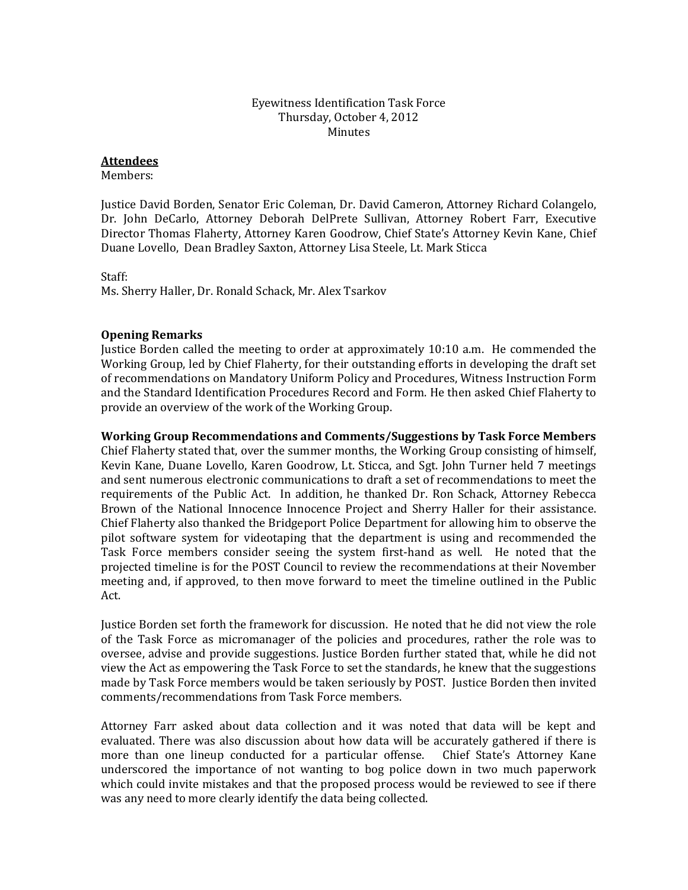### Eyewitness Identification Task Force Thursday, October 4, 2012 Minutes

## **Attendees**

Members:

Justice David Borden, Senator Eric Coleman, Dr. David Cameron, Attorney Richard Colangelo, Dr. John DeCarlo, Attorney Deborah DelPrete Sullivan, Attorney Robert Farr, Executive Director Thomas Flaherty, Attorney Karen Goodrow, Chief State's Attorney Kevin Kane, Chief Duane Lovello, Dean Bradley Saxton, Attorney Lisa Steele, Lt. Mark Sticca

Staff:

Ms. Sherry Haller, Dr. Ronald Schack, Mr. Alex Tsarkov

# **Opening Remarks**

Justice Borden called the meeting to order at approximately 10:10 a.m. He commended the Working Group, led by Chief Flaherty, for their outstanding efforts in developing the draft set of recommendations on Mandatory Uniform Policy and Procedures, Witness Instruction Form and the Standard Identification Procedures Record and Form. He then asked Chief Flaherty to provide an overview of the work of the Working Group.

## **Working Group Recommendations and Comments/Suggestions by Task Force Members**

Chief Flaherty stated that, over the summer months, the Working Group consisting of himself, Kevin Kane, Duane Lovello, Karen Goodrow, Lt. Sticca, and Sgt. John Turner held 7 meetings and sent numerous electronic communications to draft a set of recommendations to meet the requirements of the Public Act. In addition, he thanked Dr. Ron Schack, Attorney Rebecca Brown of the National Innocence Innocence Project and Sherry Haller for their assistance. Chief Flaherty also thanked the Bridgeport Police Department for allowing him to observe the pilot software system for videotaping that the department is using and recommended the Task Force members consider seeing the system first-hand as well. He noted that the projected timeline is for the POST Council to review the recommendations at their November meeting and, if approved, to then move forward to meet the timeline outlined in the Public Act.

Justice Borden set forth the framework for discussion. He noted that he did not view the role of the Task Force as micromanager of the policies and procedures, rather the role was to oversee, advise and provide suggestions. Justice Borden further stated that, while he did not view the Act as empowering the Task Force to set the standards, he knew that the suggestions made by Task Force members would be taken seriously by POST. Justice Borden then invited comments/recommendations from Task Force members.

Attorney Farr asked about data collection and it was noted that data will be kept and evaluated. There was also discussion about how data will be accurately gathered if there is more than one lineup conducted for a particular offense. Chief State's Attorney Kane underscored the importance of not wanting to bog police down in two much paperwork which could invite mistakes and that the proposed process would be reviewed to see if there was any need to more clearly identify the data being collected.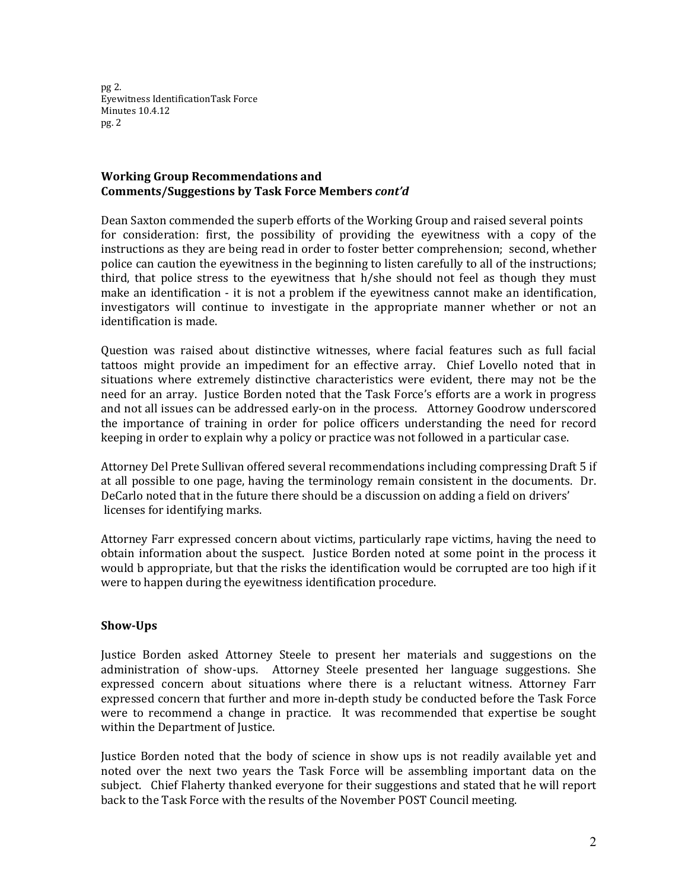pg 2. Eyewitness IdentificationTask Force Minutes 10.4.12 pg. 2

# **Working Group Recommendations and Comments/Suggestions by Task Force Members** *cont'd*

Dean Saxton commended the superb efforts of the Working Group and raised several points for consideration: first, the possibility of providing the eyewitness with a copy of the instructions as they are being read in order to foster better comprehension; second, whether police can caution the eyewitness in the beginning to listen carefully to all of the instructions; third, that police stress to the eyewitness that  $h$ /she should not feel as though they must make an identification - it is not a problem if the eyewitness cannot make an identification, investigators will continue to investigate in the appropriate manner whether or not an identification is made.

Question was raised about distinctive witnesses, where facial features such as full facial tattoos might provide an impediment for an effective array. Chief Lovello noted that in situations where extremely distinctive characteristics were evident, there may not be the need for an array. Justice Borden noted that the Task Force's efforts are a work in progress and not all issues can be addressed early‐on in the process. Attorney Goodrow underscored the importance of training in order for police officers understanding the need for record keeping in order to explain why a policy or practice was not followed in a particular case.

Attorney Del Prete Sullivan offered several recommendations including compressing Draft 5 if at all possible to one page, having the terminology remain consistent in the documents. Dr. DeCarlo noted that in the future there should be a discussion on adding a field on drivers' licenses for identifying marks.

Attorney Farr expressed concern about victims, particularly rape victims, having the need to obtain information about the suspect. Justice Borden noted at some point in the process it would b appropriate, but that the risks the identification would be corrupted are too high if it were to happen during the eyewitness identification procedure.

# **ShowUps**

Justice Borden asked Attorney Steele to present her materials and suggestions on the administration of show‐ups. Attorney Steele presented her language suggestions. She expressed concern about situations where there is a reluctant witness. Attorney Farr expressed concern that further and more in‐depth study be conducted before the Task Force were to recommend a change in practice. It was recommended that expertise be sought within the Department of Justice.

Justice Borden noted that the body of science in show ups is not readily available yet and noted over the next two years the Task Force will be assembling important data on the subject. Chief Flaherty thanked everyone for their suggestions and stated that he will report back to the Task Force with the results of the November POST Council meeting.